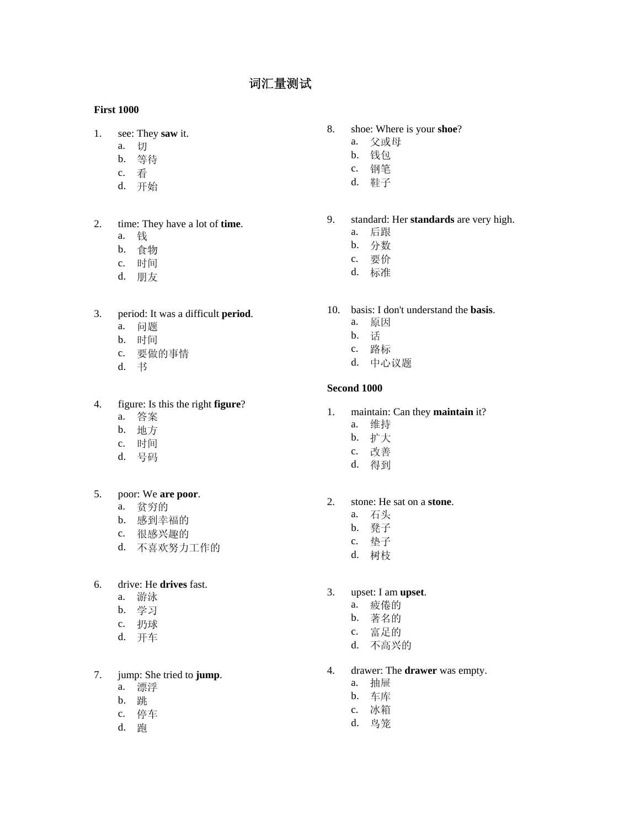# 词汇量测试

## **First 1000**

- 1. see: They **saw** it.
	- a. 切
	- b. 等待
	- c. 看
	- d. 开始
- 2. time: They have a lot of **time**.
	- a. 钱
	- b. 食物
	- c. 时间
	- d. 朋友

## 3. period: It was a difficult **period**.

- a. 问题
- b. 时间
- c. 要做的事情
- d. 书

### 4. figure: Is this the right **figure**?

- a. 答案
- b. 地方
- c. 时间
- d. 号码

## 5. poor: We **are poor**.

- a. 贫穷的
- b. 感到幸福的
- c. 很感兴趣的
- d. 不喜欢努力工作的

## 6. drive: He **drives** fast.

- a. 游泳
- b. 学习
- c. 扔球
- d. 开车

# 7. jump: She tried to **jump**.

- a. 漂浮
- b. 跳
- c. 停车
- d. 跑

### 8. shoe: Where is your **shoe**?

- a. 父或母
- b. 钱包
- c. 钢笔
- d. 鞋子

9. standard: Her **standards** are very high.

- a. 后跟
- b. 分数
- c. 要价
- d. 标准
- 10. basis: I don't understand the **basis**.
	- a. 原因
	- b. 话
	- c. 路标
	- d. 中心议题

### **Second 1000**

- 1. maintain: Can they **maintain** it?
	- a. 维持
	- b. 扩大
	- c. 改善
	- d. 得到

#### 2. stone: He sat on a **stone**.

- a. 石头
- b. 凳子
- c. 垫子
- d. 树枝

## 3. upset: I am **upset**.

- a. 疲倦的
- b. 著名的
- c. 富足的
- d. 不高兴的
- 4. drawer: The **drawer** was empty.
	- a. 抽屉
		- b. 车库
		- c. 冰箱
		- d. 鸟笼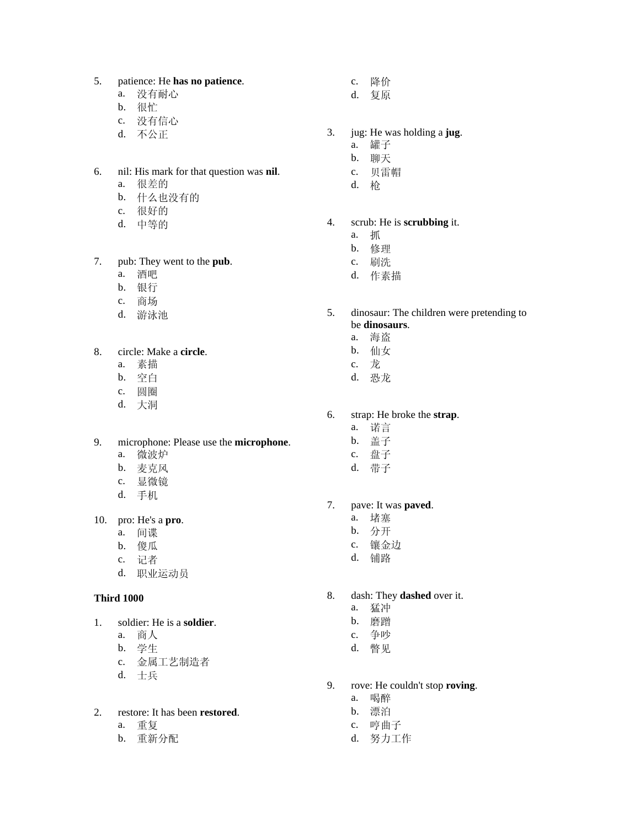#### 5. patience: He **has no patience**.

- a. 没有耐心
- b. 很忙
- c. 没有信心
- d. 不公正
- 6. nil: His mark for that question was **nil**.
	- a. 很差的
	- b. 什么也没有的
	- c. 很好的
	- d. 中等的
- 7. pub: They went to the **pub**.
	- a. 酒吧
	- b. 银行
	- c. 商场
	- d. 游泳池

## 8. circle: Make a **circle**.

- a. 素描
- b. 空白
- c. 圆圈
- d. 大洞
- 9. microphone: Please use the **microphone**.
	- a. 微波炉
	- b. 麦克风
	- c. 显微镜
	- d. 手机

10. pro: He's a **pro**.

- a. 间谍
- b. 傻瓜
- c. 记者
- d. 职业运动员

#### **Third 1000**

1. soldier: He is a **soldier**.

- a. 商人
- b. 学生
- c. 金属工艺制造者
- d. 士兵

## 2. restore: It has been **restored**.

- a. 重复
- b. 重新分配
- c. 降价
- d. 复原
- 3. jug: He was holding a **jug**.
	- a. 罐子
	- b. 聊天
	- c. 贝雷帽
	- d. 枪

# 4. scrub: He is **scrubbing** it.

- a. 抓
	- b. 修理
	- c. 刷洗
	- d. 作素描
- 5. dinosaur: The children were pretending to be **dinosaurs**.
	- a. 海盗
	- b. 仙女
	- c. 龙
	- d. 恐龙

#### 6. strap: He broke the **strap**.

- a. 诺言
- b. 盖子
- c. 盘子
- d. 带子

### 7. pave: It was **paved**.

- a. 堵塞
- b. 分开
- c. 镶金边
- d. 铺路
- 8. dash: They **dashed** over it.
	- a. 猛冲
	- b. 磨蹭
	- c. 争吵
	- d. 瞥见
- 9. rove: He couldn't stop **roving**.
	- a. 喝醉
	- b. 漂泊
	- c. 哼曲子
	- d. 努力工作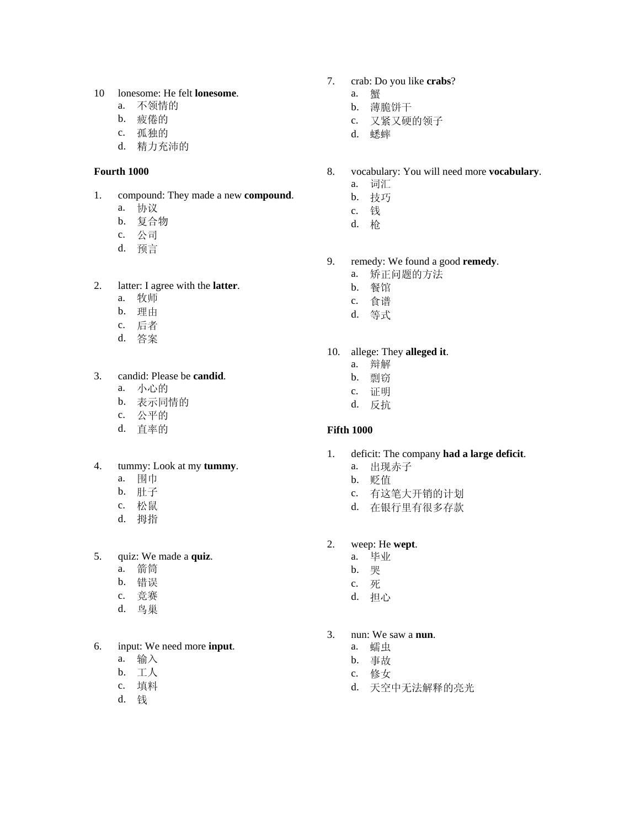#### 10 lonesome: He felt **lonesome**.

- a. 不领情的
- b. 疲倦的
- c. 孤独的
- d. 精力充沛的

### **Fourth 1000**

- 1. compound: They made a new **compound**.
	- a. 协议
	- b. 复合物
	- c. 公司
	- d. 预言

### 2. latter: I agree with the **latter**.

- a. 牧师
- b. 理由
- c. 后者
- d. 答案

## 3. candid: Please be **candid**.

- a. 小心的
- b. 表示同情的
- c. 公平的
- d. 直率的

## 4. tummy: Look at my **tummy**.

- a. 围巾
- b. 肚子
- c. 松鼠
- d. 拇指

### 5. quiz: We made a **quiz**.

- a. 箭筒
- b. 错误
- c. 竞赛
- d. 鸟巢

## 6. input: We need more **input**.

- a. 输入
- b. 工人
- c. 填料
- d. 钱
- 7. crab: Do you like **crabs**?
	- a. 蟹
		- b. 薄脆饼干
		- c. 又紧又硬的领子
		- d. 蟋蟀
- 8. vocabulary: You will need more **vocabulary**.
	- a. 词汇
	- b. 技巧
	- c. 钱
	- d. 枪
- 9. remedy: We found a good **remedy**.
	- a. 矫正问题的方法
	- b. 餐馆
	- c. 食谱
	- d. 等式

# 10. allege: They **alleged it**.

- a. 辩解
- b. 剽窃
- c. 证明
- d. 反抗

## **Fifth 1000**

- 1. deficit: The company **had a large deficit**.
	- a. 出现赤子
	- b. 贬值
	- c. 有这笔大开销的计划
	- d. 在银行里有很多存款
- 2. weep: He **wept**.
	- a. 毕业
	- b. 哭
	- c. 死
	- d. 担心
- 3. nun: We saw a **nun**.
	- a. 蠕虫
	- b. 事故
	- c. 修女
	- d. 天空中无法解释的亮光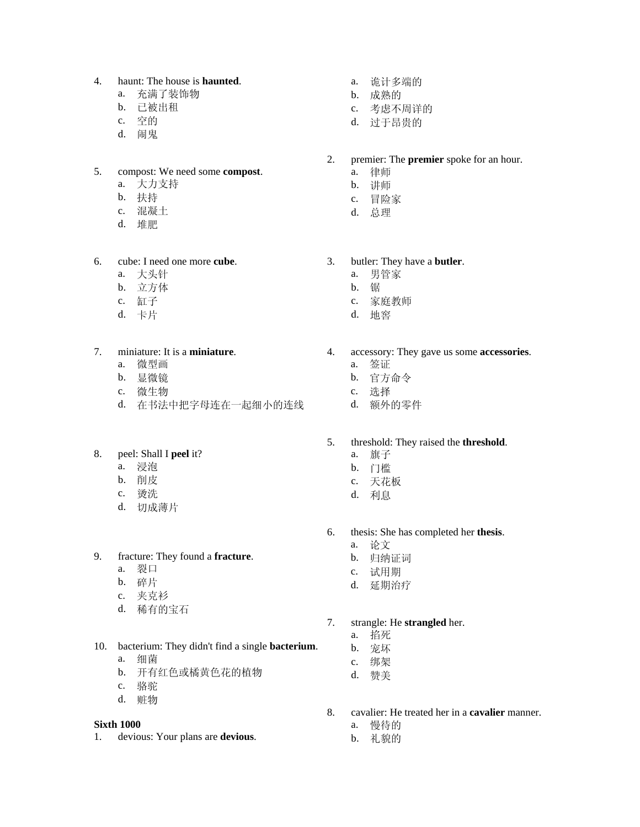### 4. haunt: The house is **haunted**.

- a. 充满了装饰物
- b. 已被出租
- c. 空的
- d. 闹鬼

### 5. compost: We need some **compost**.

- a. 大力支持
- b. 扶持
- c. 混凝土
- d. 堆肥

### 6. cube: I need one more **cube**.

- a. 大头针
- b. 立方体
- c. 缸子
- d. 卡片

## 7. miniature: It is a **miniature**.

- a. 微型画
- b. 显微镜
- c. 微生物
- d. 在书法中把字母连在一起细小的连线

## 8. peel: Shall I **peel** it?

- a. 浸泡
- b. 削皮
- c. 烫洗
- d. 切成薄片

### 9. fracture: They found a **fracture**.

- a. 裂口
- b. 碎片
- c. 夹克衫
- d. 稀有的宝石
- 10. bacterium: They didn't find a single **bacterium**.
	- a. 细菌
	- b. 开有红色或橘黄色花的植物
	- c. 骆驼
	- d. 赃物

#### **Sixth 1000**

1. devious: Your plans are **devious**.

- a. 诡计多端的
- b. 成熟的
- c. 考虑不周详的
- d. 过于昂贵的
- 2. premier: The **premier** spoke for an hour.
	- a. 律师
	- b. 讲师
	- c. 冒险家
	- d. 总理
- 3. butler: They have a **butler**.
	- a. 男管家
	- b. 锯
	- c. 家庭教师
	- d. 地窖
- 4. accessory: They gave us some **accessories**.
	- a. 签证
	- b. 官方命令
	- c. 选择
	- d. 额外的零件
- 5. threshold: They raised the **threshold**.
	- a. 旗子
	- b. 门槛
	- c. 天花板
	- d. 利息
- 6. thesis: She has completed her **thesis**.
	- a. 论文
		- b. 归纳证词
		- c. 试用期
		- d. 延期治疗
- 7. strangle: He **strangled** her.
	- a. 掐死
	- b. 宠坏
	- c. 绑架
	- d. 赞美
- 8. cavalier: He treated her in a **cavalier** manner.
	- a. 慢待的
	- b. 礼貌的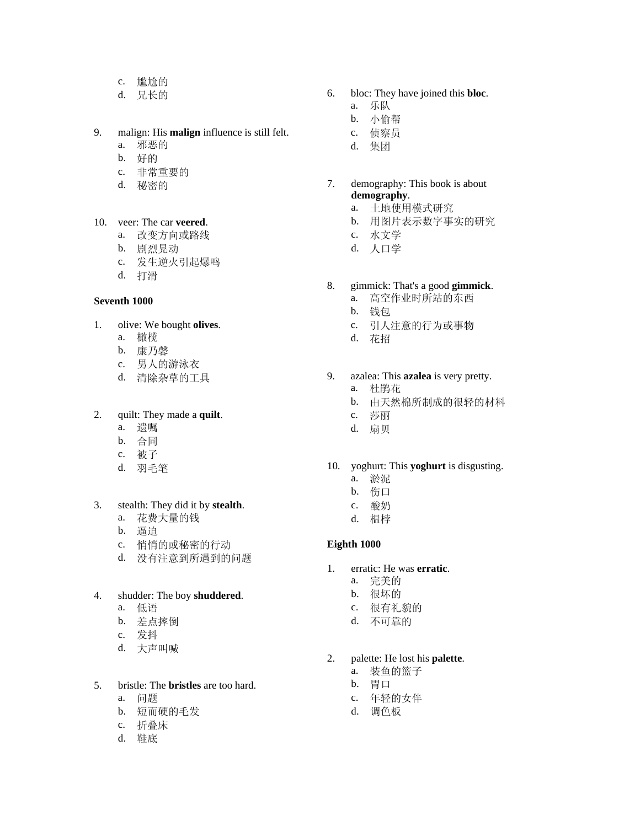- c. 尴尬的
- d. 兄长的

## 9. malign: His **malign** influence is still felt.

- a. 邪恶的
- b. 好的
- c. 非常重要的
- d. 秘密的
- 10. veer: The car **veered**.
	- a. 改变方向或路线
	- b. 剧烈晃动
	- c. 发生逆火引起爆鸣
	- d. 打滑

### **Seventh 1000**

#### 1. olive: We bought **olives**.

- a. 橄榄
- b. 康乃馨
- c. 男人的游泳衣
- d. 清除杂草的工具

# 2. quilt: They made a **quilt**.

- a. 遗嘱
- b. 合同
- c. 被子
- d. 羽毛笔

## 3. stealth: They did it by **stealth**.

- a. 花费大量的钱
- b. 逼迫
- c. 悄悄的或秘密的行动
- d. 没有注意到所遇到的问题

#### 4. shudder: The boy **shuddered**.

- a. 低语
- b. 差点摔倒
- c. 发抖
- d. 大声叫喊

### 5. bristle: The **bristles** are too hard.

- a. 问题
- b. 短而硬的毛发
- c. 折叠床
- d. 鞋底
- 6. bloc: They have joined this **bloc**.
	- a. 乐队
	- b. 小偷帮
	- c. 侦察员
	- d. 集团

## 7. demography: This book is about **demography**.

- a. 土地使用模式研究
- b. 用图片表示数字事实的研究
- c. 水文学
- d. 人口学

## 8. gimmick: That's a good **gimmick**.

- a. 高空作业时所站的东西
- b. 钱包
- c. 引人注意的行为或事物
- d. 花招

### 9. azalea: This **azalea** is very pretty.

- a. 杜鹃花
- b. 由天然棉所制成的很轻的材料
- c. 莎丽
- d. 扇贝

#### 10. yoghurt: This **yoghurt** is disgusting.

- a. 淤泥
- b. 伤口
- c. 酸奶
- d. 榅桲

### **Eighth 1000**

- 1. erratic: He was **erratic**.
	- a. 完美的
	- b. 很坏的
	- c. 很有礼貌的
	- d. 不可靠的

### 2. palette: He lost his **palette**.

- a. 装鱼的篮子
- b. 胃口
- c. 年轻的女伴
- d. 调色板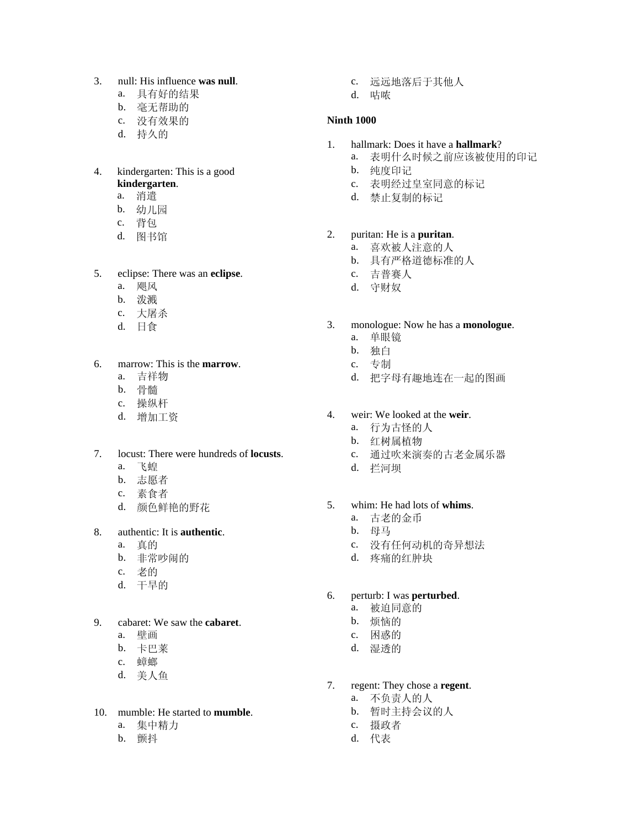- 3. null: His influence **was null**.
	- a. 具有好的结果
	- b. 毫无帮助的
	- c. 没有效果的
	- d. 持久的

#### 4. kindergarten: This is a good **kindergarten**.

- a. 消遣
- b. 幼儿园
- c. 背包
- d. 图书馆
- 5. eclipse: There was an **eclipse**.
	- a. 飓风
	- b. 泼溅
	- c. 大屠杀
	- d. 日食
- 6. marrow: This is the **marrow**.
	- a. 吉祥物
	- b. 骨髓
	- c. 操纵杆
	- d. 增加工资

## 7. locust: There were hundreds of **locusts**.

- a. 飞蝗
- b. 志愿者
- c. 素食者
- d. 颜色鲜艳的野花

## 8. authentic: It is **authentic**.

- a. 真的
- b. 非常吵闹的
- c. 老的
- d. 干旱的
- 9. cabaret: We saw the **cabaret**.
	- a. 壁画
	- b. 卡巴莱
	- c. 蟑螂
	- d. 美人鱼

## 10. mumble: He started to **mumble**.

- a. 集中精力
- b. 颤抖
- c. 远远地落后于其他人
- d. 咕哝

## **Ninth 1000**

- 1. hallmark: Does it have a **hallmark**?
	- a. 表明什么时候之前应该被使用的印记
	- b. 纯度印记
	- c. 表明经过皇室同意的标记
	- d. 禁止复制的标记

### 2. puritan: He is a **puritan**.

- a. 喜欢被人注意的人
- b. 具有严格道德标准的人
- c. 吉普赛人
- d. 守财奴

## 3. monologue: Now he has a **monologue**.

- a. 单眼镜
- b. 独白
- c. 专制
- d. 把字母有趣地连在一起的图画
- 4. weir: We looked at the **weir**.
	- a. 行为古怪的人
	- b. 红树属植物
	- c. 通过吹来演奏的古老金属乐器
	- d. 拦河坝

## 5. whim: He had lots of **whims**.

- a. 古老的金币
- b. 母马
- c. 没有任何动机的奇异想法
- d. 疼痛的红肿块

#### 6. perturb: I was **perturbed**.

- a. 被迫同意的
- b. 烦恼的
- c. 困惑的
- d. 湿透的
- 7. regent: They chose a **regent**.
	- a. 不负责人的人
	- b. 暂时主持会议的人
	- c. 摄政者
	- d. 代表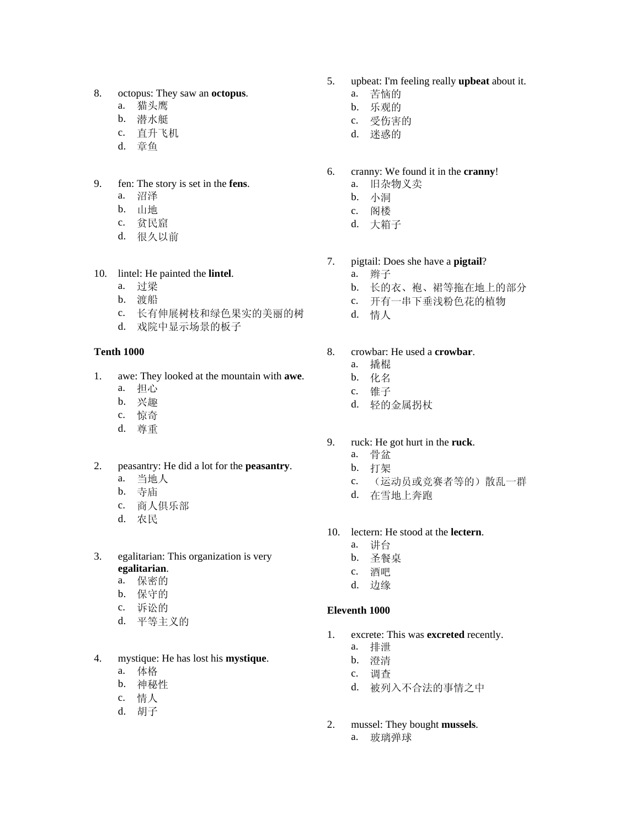- 8. octopus: They saw an **octopus**.
	- a. 猫头鹰
	- b. 潜水艇
	- c. 直升飞机
	- d. 章鱼
- 9. fen: The story is set in the **fens**.
	- a. 沼泽
	- b. 山地
	- c. 贫民窟
	- d. 很久以前

#### 10. lintel: He painted the **lintel**.

- a. 过梁
- b. 渡船
- c. 长有伸展树枝和绿色果实的美丽的树
- d. 戏院中显示场景的板子

### **Tenth 1000**

- 1. awe: They looked at the mountain with **awe**.
	- a. 担心
	- b. 兴趣
	- c. 惊奇
	- d. 尊重
- 2. peasantry: He did a lot for the **peasantry**.
	- a. 当地人
	- b. 寺庙
	- c. 商人俱乐部
	- d. 农民
- 3. egalitarian: This organization is very **egalitarian**.
	- a. 保密的
	- b. 保守的
	- c. 诉讼的
	- d. 平等主义的
- 4. mystique: He has lost his **mystique**.
	- a. 体格
	- b. 神秘性
	- c. 情人
	- d. 胡子
- 5. upbeat: I'm feeling really **upbeat** about it.
	- a. 苦恼的
	- b. 乐观的
	- c. 受伤害的
	- d. 迷惑的
- 6. cranny: We found it in the **cranny**!
	- a. 旧杂物义卖
	- b. 小洞
	- c. 阁楼
	- d. 大箱子
- 7. pigtail: Does she have a **pigtail**?
	- a. 辫子
	- b. 长的衣、袍、裙等拖在地上的部分
	- c. 开有一串下垂浅粉色花的植物
	- d. 情人

## 8. crowbar: He used a **crowbar**.

- a. 撬棍
- b. 化名
- c. 锥子
- d. 轻的金属拐杖
- 9. ruck: He got hurt in the **ruck**.
	- a. 骨盆
	- b. 打架
	- c. (运动员或竞赛者等的)散乱一群
	- d. 在雪地上奔跑
- 10. lectern: He stood at the **lectern**.
	- a. 讲台
	- b. 圣餐桌
	- c. 酒吧
	- d. 边缘

#### **Eleventh 1000**

- 1. excrete: This was **excreted** recently.
	- a. 排泄
	- b. 澄清
	- c. 调查
	- d. 被列入不合法的事情之中
- 2. mussel: They bought **mussels**. a. 玻璃弹球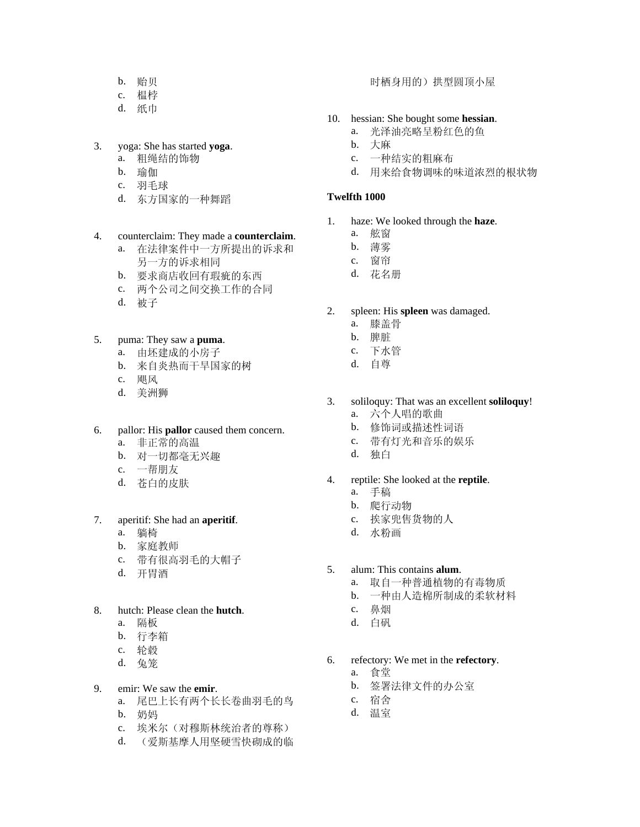- b. 贻贝
- c. 榅桲
- d. 纸巾

## 3. yoga: She has started **yoga**.

- a. 粗绳结的饰物
- b. 瑜伽
- c. 羽毛球
- d. 东方国家的一种舞蹈

## 4. counterclaim: They made a **counterclaim**.

- a. 在法律案件中一方所提出的诉求和 另一方的诉求相同
- b. 要求商店收回有瑕疵的东西
- c. 两个公司之间交换工作的合同
- d. 被子

## 5. puma: They saw a **puma**.

- a. 由坯建成的小房子
- b. 来自炎热而干旱国家的树
- c. 飓风
- d. 美洲狮

# 6. pallor: His **pallor** caused them concern.

- a. 非正常的高温
- b. 对一切都毫无兴趣
- c. 一帮朋友
- d. 苍白的皮肤

## 7. aperitif: She had an **aperitif**.

- a. 躺椅
- b. 家庭教师
- c. 带有很高羽毛的大帽子
- d. 开胃酒

# 8. hutch: Please clean the **hutch**.

- a. 隔板
- b. 行李箱
- c. 轮毂
- d. 兔笼

# 9. emir: We saw the **emir**.

- a. 尾巴上长有两个长长卷曲羽毛的鸟 b. 奶妈
- 
- c. 埃米尔(对穆斯林统治者的尊称)
- d. (爱斯基摩人用坚硬雪快砌成的临

## 时栖身用的)拱型圆顶小屋

## 10. hessian: She bought some **hessian**.

- a. 光泽油亮略呈粉红色的鱼
- b. 大麻
- c. 一种结实的粗麻布
- d. 用来给食物调味的味道浓烈的根状物

## **Twelfth 1000**

- 1. haze: We looked through the **haze**.
	- a. 舷窗
	- b. 薄雾
	- c. 窗帘
	- d. 花名册
- 2. spleen: His **spleen** was damaged.
	- a. 膝盖骨
	- b. 脾脏
	- c. 下水管
	- d. 自尊
- 3. soliloquy: That was an excellent **soliloquy**!
	- a. 六个人唱的歌曲
	- b. 修饰词或描述性词语
	- c. 带有灯光和音乐的娱乐
	- d. 独白

## 4. reptile: She looked at the **reptile**.

- a. 手稿
	- b. 爬行动物
	- c. 挨家兜售货物的人
	- d. 水粉画
- 5. alum: This contains **alum**.
	- a. 取自一种普通植物的有毒物质
	- b. 一种由人造棉所制成的柔软材料
	- c. 鼻烟
	- d. 白矾
- 6. refectory: We met in the **refectory**.
	- a. 食堂
	- b. 签署法律文件的办公室
	- c. 宿舍
	- d. 温室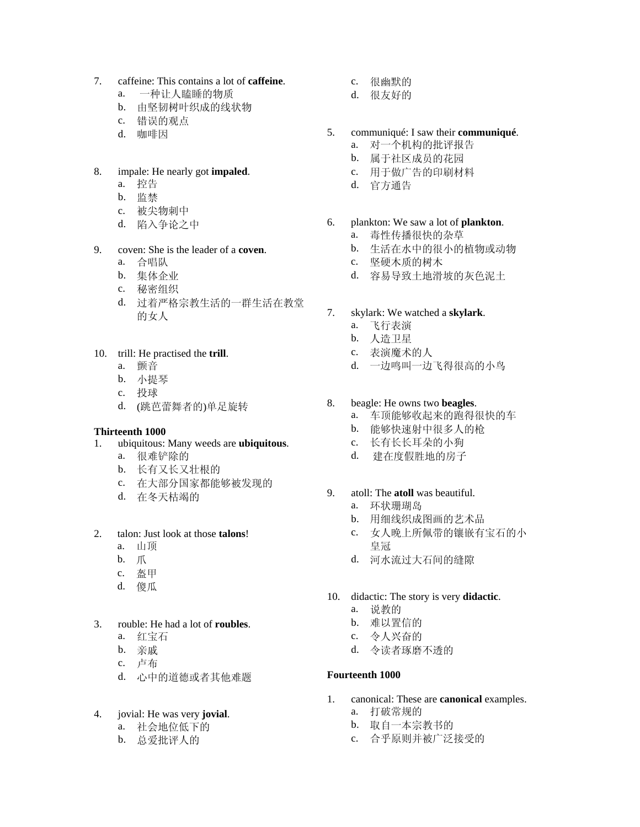- 7. caffeine: This contains a lot of **caffeine**.
	- a. 一种让人瞌睡的物质
	- b. 由坚韧树叶织成的线状物
	- c. 错误的观点
	- d. 咖啡因

### 8. impale: He nearly got **impaled**.

- a. 控告
- b. 监禁
- c. 被尖物刺中
- d. 陷入争论之中

#### 9. coven: She is the leader of a **coven**.

- a. 合唱队
- b. 集体企业
- c. 秘密组织
- d. 过着严格宗教生活的一群生活在教堂 的女人
- 10. trill: He practised the **trill**.
	- a. 颤音
	- b. 小提琴
	- c. 投球
	- d. (跳芭蕾舞者的)单足旋转

## **Thirteenth 1000**

- 1. ubiquitous: Many weeds are **ubiquitous**.
	- a. 很难铲除的
	- b. 长有又长又壮根的
	- c. 在大部分国家都能够被发现的
	- d. 在冬天枯竭的

## 2. talon: Just look at those **talons**!

- a. 山顶
- b. 爪
- c. 盔甲
- d. 傻瓜
- 3. rouble: He had a lot of **roubles**.
	- a. 红宝石
	- b. 亲戚
	- c. 卢布
	- d. 心中的道德或者其他难题

## 4. jovial: He was very **jovial**.

- a. 社会地位低下的
- b. 总爱批评人的
- c. 很幽默的
- d. 很友好的
- 5. communiqué: I saw their **communiqué**.
	- a. 对一个机构的批评报告
	- b. 属于社区成员的花园
	- c. 用于做广告的印刷材料
	- d. 官方通告
- 6. plankton: We saw a lot of **plankton**.
	- a. 毒性传播很快的杂草
	- b. 生活在水中的很小的植物或动物
	- c. 坚硬木质的树木
	- d. 容易导致土地滑坡的灰色泥土
- 7. skylark: We watched a **skylark**.
	- a. 飞行表演
	- b. 人造卫星
	- c. 表演魔术的人
	- d. 一边鸣叫一边飞得很高的小鸟

### 8. beagle: He owns two **beagles**.

- a. 车顶能够收起来的跑得很快的车
- b. 能够快速射中很多人的枪
- c. 长有长长耳朵的小狗
- d. 建在度假胜地的房子
- 9. atoll: The **atoll** was beautiful.
	- a. 环状珊瑚岛
	- b. 用细线织成图画的艺术品
	- c. 女人晚上所佩带的镶嵌有宝石的小 皇冠
	- d. 河水流过大石间的缝隙
- 10. didactic: The story is very **didactic**.
	- a. 说教的
	- b. 难以置信的
	- c. 令人兴奋的
	- d. 令读者琢磨不透的

#### **Fourteenth 1000**

- 1. canonical: These are **canonical** examples.
	- a. 打破常规的
	- b. 取自一本宗教书的
	- c. 合乎原则并被广泛接受的